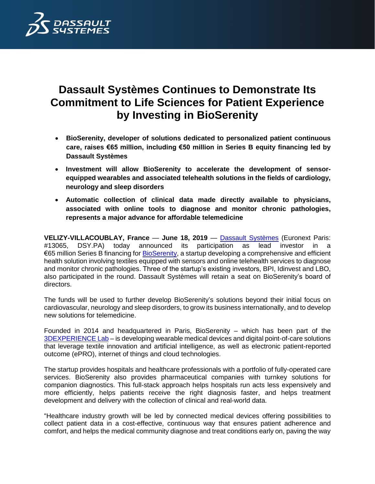

# **Dassault Systèmes Continues to Demonstrate Its Commitment to Life Sciences for Patient Experience by Investing in BioSerenity**

- **BioSerenity, developer of solutions dedicated to personalized patient continuous care, raises €65 million, including €50 million in Series B equity financing led by Dassault Systèmes**
- **Investment will allow BioSerenity to accelerate the development of sensorequipped wearables and associated telehealth solutions in the fields of cardiology, neurology and sleep disorders**
- **Automatic collection of clinical data made directly available to physicians, associated with online tools to diagnose and monitor chronic pathologies, represents a major advance for affordable telemedicine**

**VELIZY-VILLACOUBLAY, France** — **June 18, 2019** — [Dassault Systèmes](http://www.3ds.com/) (Euronext Paris: #13065, DSY.PA) today announced its participation as lead investor in a €65 million Series B financing fo[r BioSerenity,](https://www.bioserenity.com/en) a startup developing a comprehensive and efficient health solution involving textiles equipped with sensors and online telehealth services to diagnose and monitor chronic pathologies. Three of the startup's existing investors, BPI, Idinvest and LBO, also participated in the round. Dassault Systèmes will retain a seat on BioSerenity's board of directors.

The funds will be used to further develop BioSerenity's solutions beyond their initial focus on cardiovascular, neurology and sleep disorders, to grow its business internationally, and to develop new solutions for telemedicine.

Founded in 2014 and headquartered in Paris, BioSerenity – which has been part of the [3DEXPERIENCE Lab](https://3dexperiencelab.3ds.com/en/projects/city/bioserenity/) – is developing wearable medical devices and digital point-of-care solutions that leverage textile innovation and artificial intelligence, as well as electronic patient-reported outcome (ePRO), internet of things and cloud technologies.

The startup provides hospitals and healthcare professionals with a portfolio of fully-operated care services. BioSerenity also provides pharmaceutical companies with turnkey solutions for companion diagnostics. This full-stack approach helps hospitals run acts less expensively and more efficiently, helps patients receive the right diagnosis faster, and helps treatment development and delivery with the collection of clinical and real-world data.

"Healthcare industry growth will be led by connected medical devices offering possibilities to collect patient data in a cost-effective, continuous way that ensures patient adherence and comfort, and helps the medical community diagnose and treat conditions early on, paving the way